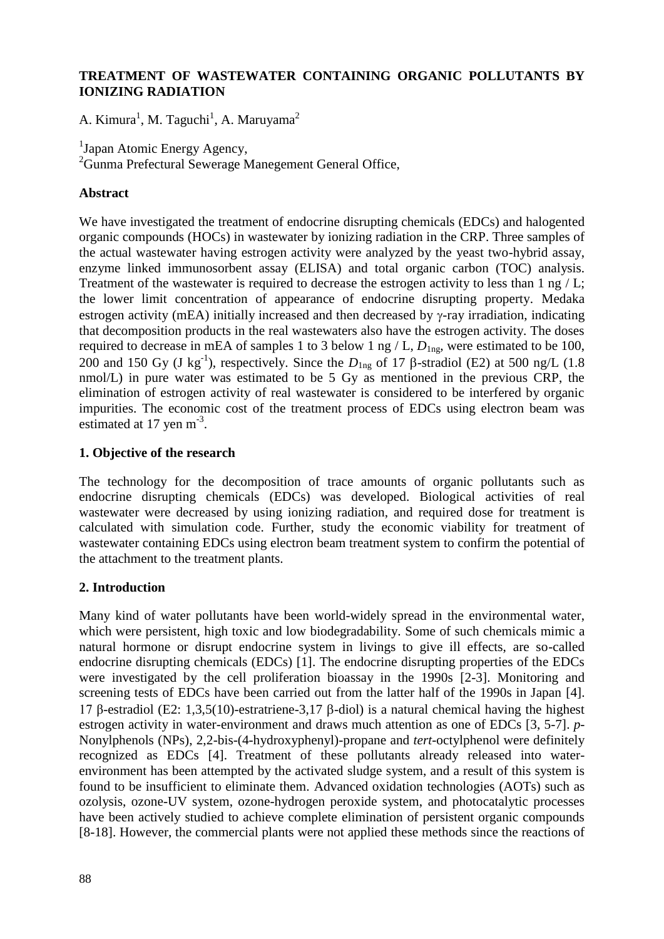# **TREATMENT OF WASTEWATER CONTAINING ORGANIC POLLUTANTS BY IONIZING RADIATION**

A. Kimura<sup>1</sup>, M. Taguchi<sup>1</sup>, A. Maruyama<sup>2</sup>

<sup>1</sup>Japan Atomic Energy Agency,

<sup>2</sup>Gunma Prefectural Sewerage Manegement General Office,

# **Abstract**

We have investigated the treatment of endocrine disrupting chemicals (EDCs) and halogented organic compounds (HOCs) in wastewater by ionizing radiation in the CRP. Three samples of the actual wastewater having estrogen activity were analyzed by the yeast two-hybrid assay, enzyme linked immunosorbent assay (ELISA) and total organic carbon (TOC) analysis. Treatment of the wastewater is required to decrease the estrogen activity to less than 1 ng / L; the lower limit concentration of appearance of endocrine disrupting property. Medaka estrogen activity (mEA) initially increased and then decreased by  $\gamma$ -ray irradiation, indicating that decomposition products in the real wastewaters also have the estrogen activity. The doses required to decrease in mEA of samples 1 to 3 below 1 ng  $/L$ ,  $D_{1ng}$ , were estimated to be 100, 200 and 150 Gy (J kg<sup>-1</sup>), respectively. Since the  $D_{\text{Ing}}$  of 17  $\beta$ -stradiol (E2) at 500 ng/L (1.8) nmol/L) in pure water was estimated to be 5 Gy as mentioned in the previous CRP, the elimination of estrogen activity of real wastewater is considered to be interfered by organic impurities. The economic cost of the treatment process of EDCs using electron beam was estimated at 17 yen m<sup>-3</sup>.

# **1. Objective of the research**

The technology for the decomposition of trace amounts of organic pollutants such as endocrine disrupting chemicals (EDCs) was developed. Biological activities of real wastewater were decreased by using ionizing radiation, and required dose for treatment is calculated with simulation code. Further, study the economic viability for treatment of wastewater containing EDCs using electron beam treatment system to confirm the potential of the attachment to the treatment plants.

# **2. Introduction**

Many kind of water pollutants have been world-widely spread in the environmental water, which were persistent, high toxic and low biodegradability. Some of such chemicals mimic a natural hormone or disrupt endocrine system in livings to give ill effects, are so-called endocrine disrupting chemicals (EDCs) [1]. The endocrine disrupting properties of the EDCs were investigated by the cell proliferation bioassay in the 1990s [2-3]. Monitoring and screening tests of EDCs have been carried out from the latter half of the 1990s in Japan [4]. 17 β-estradiol (E2: 1,3,5(10)-estratriene-3,17 β-diol) is a natural chemical having the highest estrogen activity in water-environment and draws much attention as one of EDCs [3, 5-7]. *p*-Nonylphenols (NPs), 2,2-bis-(4-hydroxyphenyl)-propane and *tert*-octylphenol were definitely recognized as EDCs [4]. Treatment of these pollutants already released into waterenvironment has been attempted by the activated sludge system, and a result of this system is found to be insufficient to eliminate them. Advanced oxidation technologies (AOTs) such as ozolysis, ozone-UV system, ozone-hydrogen peroxide system, and photocatalytic processes have been actively studied to achieve complete elimination of persistent organic compounds [8-18]. However, the commercial plants were not applied these methods since the reactions of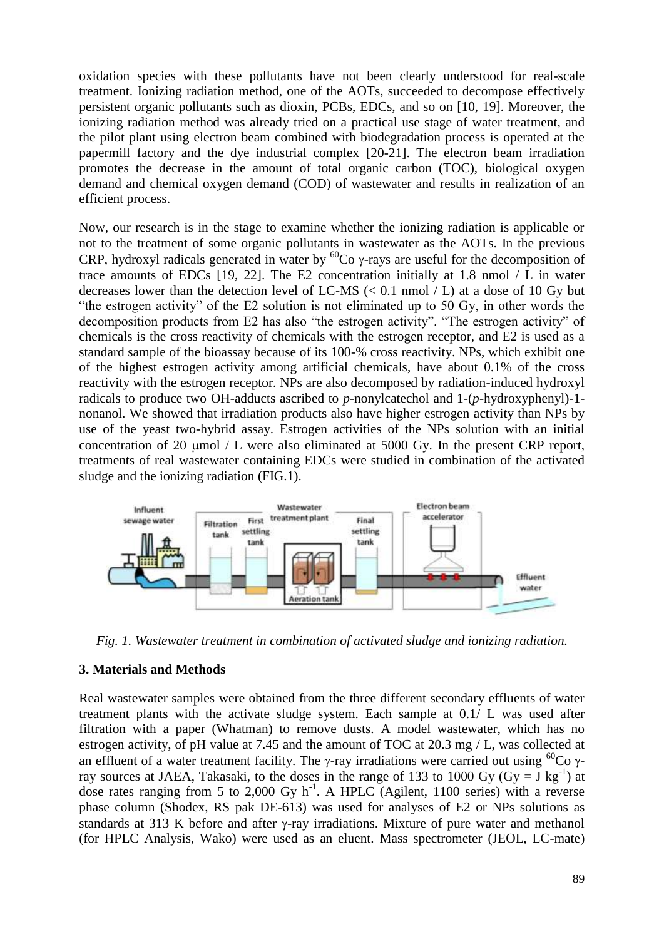oxidation species with these pollutants have not been clearly understood for real-scale treatment. Ionizing radiation method, one of the AOTs, succeeded to decompose effectively persistent organic pollutants such as dioxin, PCBs, EDCs, and so on [10, 19]. Moreover, the ionizing radiation method was already tried on a practical use stage of water treatment, and the pilot plant using electron beam combined with biodegradation process is operated at the papermill factory and the dye industrial complex [20-21]. The electron beam irradiation promotes the decrease in the amount of total organic carbon (TOC), biological oxygen demand and chemical oxygen demand (COD) of wastewater and results in realization of an efficient process.

Now, our research is in the stage to examine whether the ionizing radiation is applicable or not to the treatment of some organic pollutants in wastewater as the AOTs. In the previous CRP, hydroxyl radicals generated in water by  ${}^{60}Co$   $\gamma$ -rays are useful for the decomposition of trace amounts of EDCs  $[19, 22]$ . The E2 concentration initially at 1.8 nmol / L in water decreases lower than the detection level of LC-MS  $\ll$  0.1 nmol  $\ell$  L) at a dose of 10 Gy but "the estrogen activity" of the E2 solution is not eliminated up to 50 Gy, in other words the decomposition products from E2 has also "the estrogen activity". "The estrogen activity" of chemicals is the cross reactivity of chemicals with the estrogen receptor, and E2 is used as a standard sample of the bioassay because of its 100-% cross reactivity. NPs, which exhibit one of the highest estrogen activity among artificial chemicals, have about 0.1% of the cross reactivity with the estrogen receptor. NPs are also decomposed by radiation-induced hydroxyl radicals to produce two OH-adducts ascribed to *p*-nonylcatechol and 1-(*p*-hydroxyphenyl)-1 nonanol. We showed that irradiation products also have higher estrogen activity than NPs by use of the yeast two-hybrid assay. Estrogen activities of the NPs solution with an initial concentration of 20  $\mu$ mol / L were also eliminated at 5000 Gy. In the present CRP report, treatments of real wastewater containing EDCs were studied in combination of the activated sludge and the ionizing radiation (FIG.1).



*Fig. 1. Wastewater treatment in combination of activated sludge and ionizing radiation.*

### **3. Materials and Methods**

Real wastewater samples were obtained from the three different secondary effluents of water treatment plants with the activate sludge system. Each sample at 0.1/ L was used after filtration with a paper (Whatman) to remove dusts. A model wastewater, which has no estrogen activity, of pH value at 7.45 and the amount of TOC at 20.3 mg / L, was collected at an effluent of a water treatment facility. The  $\gamma$ -ray irradiations were carried out using <sup>60</sup>Co  $\gamma$ ray sources at JAEA, Takasaki, to the doses in the range of 133 to 1000 Gy (Gy =  $\bar{J}$  kg<sup>-1</sup>) at dose rates ranging from 5 to 2,000 Gy  $h^{-1}$ . A HPLC (Agilent, 1100 series) with a reverse phase column (Shodex, RS pak DE-613) was used for analyses of E2 or NPs solutions as standards at 313 K before and after  $\gamma$ -ray irradiations. Mixture of pure water and methanol (for HPLC Analysis, Wako) were used as an eluent. Mass spectrometer (JEOL, LC-mate)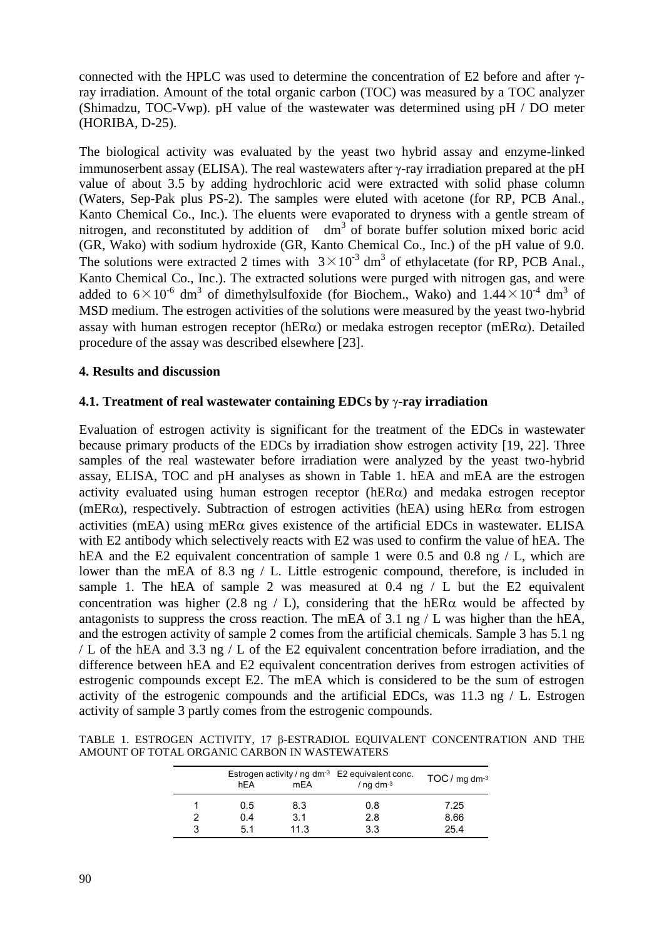connected with the HPLC was used to determine the concentration of E2 before and after  $\gamma$ ray irradiation. Amount of the total organic carbon (TOC) was measured by a TOC analyzer (Shimadzu, TOC-Vwp). pH value of the wastewater was determined using pH / DO meter (HORIBA, D-25).

The biological activity was evaluated by the yeast two hybrid assay and enzyme-linked immunoserbent assay (ELISA). The real wastewaters after  $\gamma$ -ray irradiation prepared at the pH value of about 3.5 by adding hydrochloric acid were extracted with solid phase column (Waters, Sep-Pak plus PS-2). The samples were eluted with acetone (for RP, PCB Anal., Kanto Chemical Co., Inc.). The eluents were evaporated to dryness with a gentle stream of nitrogen, and reconstituted by addition of  $dm<sup>3</sup>$  of borate buffer solution mixed boric acid (GR, Wako) with sodium hydroxide (GR, Kanto Chemical Co., Inc.) of the pH value of 9.0. The solutions were extracted 2 times with  $3 \times 10^{-3}$  dm<sup>3</sup> of ethylacetate (for RP, PCB Anal., Kanto Chemical Co., Inc.). The extracted solutions were purged with nitrogen gas, and were added to  $6 \times 10^{-6}$  dm<sup>3</sup> of dimethylsulfoxide (for Biochem., Wako) and  $1.44 \times 10^{-4}$  dm<sup>3</sup> of MSD medium. The estrogen activities of the solutions were measured by the yeast two-hybrid assay with human estrogen receptor (hER $\alpha$ ) or medaka estrogen receptor (mER $\alpha$ ). Detailed procedure of the assay was described elsewhere [23].

### **4. Results and discussion**

### **4.1. Treatment of real wastewater containing EDCs by -ray irradiation**

Evaluation of estrogen activity is significant for the treatment of the EDCs in wastewater because primary products of the EDCs by irradiation show estrogen activity [19, 22]. Three samples of the real wastewater before irradiation were analyzed by the yeast two-hybrid assay, ELISA, TOC and pH analyses as shown in Table 1. hEA and mEA are the estrogen activity evaluated using human estrogen receptor ( $hER\alpha$ ) and medaka estrogen receptor (mER $\alpha$ ), respectively. Subtraction of estrogen activities (hEA) using hER $\alpha$  from estrogen activities (mEA) using mER $\alpha$  gives existence of the artificial EDCs in wastewater. ELISA with E2 antibody which selectively reacts with E2 was used to confirm the value of hEA. The hEA and the E2 equivalent concentration of sample 1 were 0.5 and 0.8 ng / L, which are lower than the mEA of 8.3 ng / L. Little estrogenic compound, therefore, is included in sample 1. The hEA of sample 2 was measured at 0.4 ng / L but the E2 equivalent concentration was higher (2.8 ng / L), considering that the hER $\alpha$  would be affected by antagonists to suppress the cross reaction. The mEA of 3.1 ng / L was higher than the hEA, and the estrogen activity of sample 2 comes from the artificial chemicals. Sample 3 has 5.1 ng / L of the hEA and 3.3 ng / L of the E2 equivalent concentration before irradiation, and the difference between hEA and E2 equivalent concentration derives from estrogen activities of estrogenic compounds except E2. The mEA which is considered to be the sum of estrogen activity of the estrogenic compounds and the artificial EDCs, was 11.3 ng / L. Estrogen activity of sample 3 partly comes from the estrogenic compounds.

TABLE 1. ESTROGEN ACTIVITY, 17 B-ESTRADIOL EQUIVALENT CONCENTRATION AND THE AMOUNT OF TOTAL ORGANIC CARBON IN WASTEWATERS

|        | Estrogen activity / ng $dm^{-3}$ E2 equivalent conc.<br>hEA<br>mEA |             | / $nq$ dm <sup>-3</sup> | $TOC / mg$ dm <sup>-3</sup> |
|--------|--------------------------------------------------------------------|-------------|-------------------------|-----------------------------|
|        | 0.5                                                                | 8.3         | 0.8                     | 7.25                        |
| 2<br>3 | 0.4<br>51                                                          | 3.1<br>11.3 | 2.8<br>3.3              | 8.66<br>25.4                |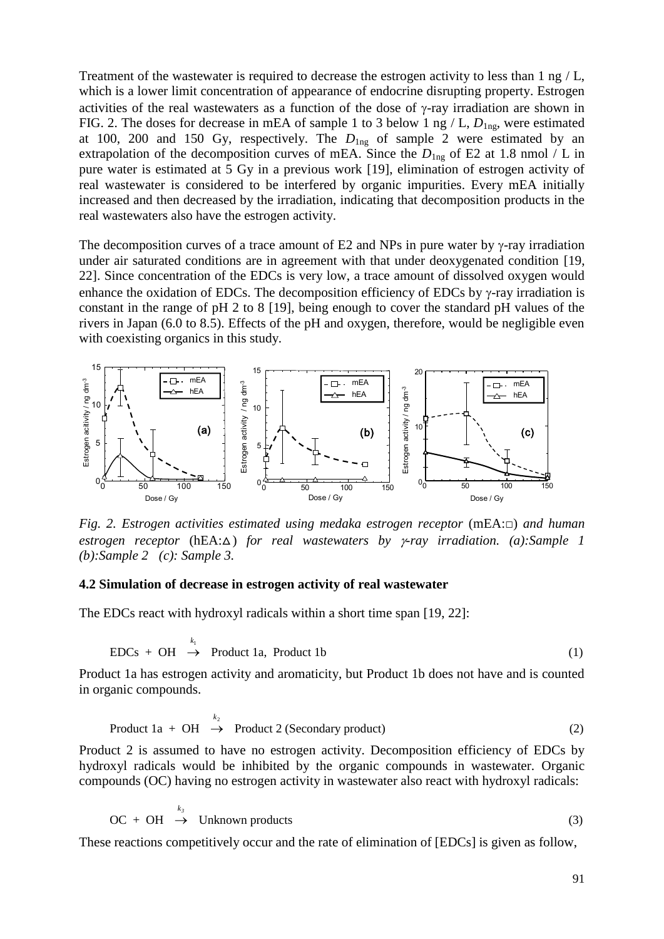Treatment of the wastewater is required to decrease the estrogen activity to less than 1 ng / L, which is a lower limit concentration of appearance of endocrine disrupting property. Estrogen activities of the real wastewaters as a function of the dose of  $\gamma$ -ray irradiation are shown in FIG. 2. The doses for decrease in mEA of sample 1 to 3 below 1 ng / L,  $D_{1ng}$ , were estimated at 100, 200 and 150 Gy, respectively. The  $D_{\text{Ing}}$  of sample 2 were estimated by an extrapolation of the decomposition curves of mEA. Since the  $D_{1ng}$  of E2 at 1.8 nmol / L in pure water is estimated at 5 Gy in a previous work [19], elimination of estrogen activity of real wastewater is considered to be interfered by organic impurities. Every mEA initially increased and then decreased by the irradiation, indicating that decomposition products in the real wastewaters also have the estrogen activity.

The decomposition curves of a trace amount of E2 and NPs in pure water by  $\gamma$ -ray irradiation under air saturated conditions are in agreement with that under deoxygenated condition [19, 22]. Since concentration of the EDCs is very low, a trace amount of dissolved oxygen would enhance the oxidation of EDCs. The decomposition efficiency of EDCs by  $\gamma$ -ray irradiation is constant in the range of pH 2 to 8 [19], being enough to cover the standard pH values of the rivers in Japan (6.0 to 8.5). Effects of the pH and oxygen, therefore, would be negligible even with coexisting organics in this study.



*Fig.* 2. *Estrogen activities estimated using medaka estrogen receptor* (mEA:□) *and human estrogen receptor* (hEA:∆) *for real wastewaters by y-ray irradiation. (a):Sample 1 (b):Sample 2 (c): Sample 3.*

#### **4.2 Simulation of decrease in estrogen activity of real wastewater**

The EDCs react with hydroxyl radicals within a short time span [19, 22]:

EDCs + OH 
$$
\rightarrow
$$
 Product 1a, Product 1b (1)

Product 1a has estrogen activity and aromaticity, but Product 1b does not have and is counted in organic compounds.

$$
Product 1a + OH \xrightarrow{k_2} Product 2 (Secondary product)
$$
 (2)

Product 2 is assumed to have no estrogen activity. Decomposition efficiency of EDCs by hydroxyl radicals would be inhibited by the organic compounds in wastewater. Organic compounds (OC) having no estrogen activity in wastewater also react with hydroxyl radicals:

$$
OC + OH \stackrel{k_3}{\rightarrow} Unknown products \tag{3}
$$

These reactions competitively occur and the rate of elimination of [EDCs] is given as follow,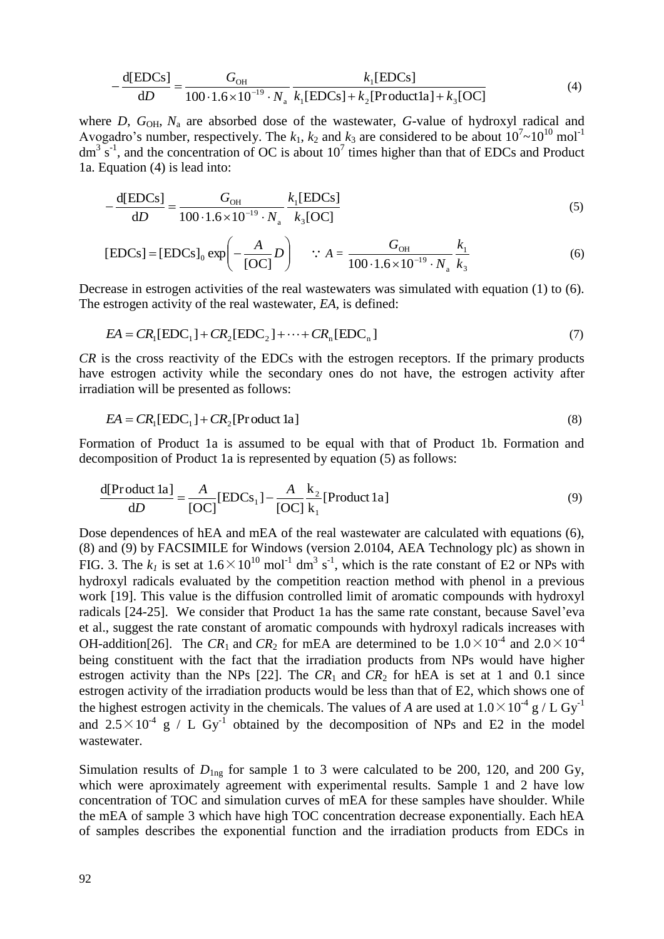$$
-\frac{d[EDCs]}{dD} = \frac{G_{OH}}{100 \cdot 1.6 \times 10^{-19} \cdot N_a} \frac{k_1[EDCs]}{k_1[EDCs] + k_2[Product1a] + k_3[OC]}
$$
(4)

where *D*,  $G_{OH}$ ,  $N_a$  are absorbed dose of the wastewater, *G*-value of hydroxyl radical and Avogadro's number, respectively. The  $k_1$ ,  $k_2$  and  $k_3$  are considered to be about  $10^7 \sim 10^{10}$  mol<sup>-1</sup>  $dm^3$  s<sup>-1</sup>, and the concentration of OC is about 10<sup>7</sup> times higher than that of EDCs and Product 1a. Equation (4) is lead into:

$$
-\frac{d[EDCs]}{dD} = \frac{G_{OH}}{100 \cdot 1.6 \times 10^{-19} \cdot N_a} \frac{k_1[EDCs]}{k_3[OC]}
$$
(5)

$$
[EDCs] = [EDCs]_0 \exp\left(-\frac{A}{[OC]}D\right) \quad \because A = \frac{G_{OH}}{100 \cdot 1.6 \times 10^{-19} \cdot N_a} \frac{k_1}{k_3}
$$
(6)

Decrease in estrogen activities of the real wastewaters was simulated with equation (1) to (6). The estrogen activity of the real wastewater, *EA*, is defined:

$$
EA = CR1[EDC1] + CR2[EDC2] + \dots + CRn[EDCn]
$$
\n(7)

*CR* is the cross reactivity of the EDCs with the estrogen receptors. If the primary products have estrogen activity while the secondary ones do not have, the estrogen activity after irradiation will be presented as follows:

$$
EA = CR1[EDC1] + CR2[Product 1a]
$$
\n(8)

Formation of Product 1a is assumed to be equal with that of Product 1b. Formation and decomposition of Product 1a is represented by equation (5) as follows:

$$
\frac{d[Product 1a]}{dD} = \frac{A}{[OC]} [EDCs1] - \frac{A}{[OC]} \frac{k_2}{k_1} [Product 1a]
$$
\n(9)

Dose dependences of hEA and mEA of the real wastewater are calculated with equations (6), (8) and (9) by FACSIMILE for Windows (version 2.0104, AEA Technology plc) as shown in FIG. 3. The  $k_l$  is set at  $1.6 \times 10^{10}$  mol<sup>-1</sup> dm<sup>3</sup> s<sup>-1</sup>, which is the rate constant of E2 or NPs with hydroxyl radicals evaluated by the competition reaction method with phenol in a previous work [19]. This value is the diffusion controlled limit of aromatic compounds with hydroxyl radicals [24-25]. We consider that Product 1a has the same rate constant, because Savel'eva et al., suggest the rate constant of aromatic compounds with hydroxyl radicals increases with OH-addition<sup>[26]</sup>. The  $CR_1$  and  $CR_2$  for mEA are determined to be  $1.0 \times 10^{-4}$  and  $2.0 \times 10^{-4}$ being constituent with the fact that the irradiation products from NPs would have higher estrogen activity than the NPs [22]. The  $CR_1$  and  $CR_2$  for hEA is set at 1 and 0.1 since estrogen activity of the irradiation products would be less than that of E2, which shows one of the highest estrogen activity in the chemicals. The values of *A* are used at  $1.0 \times 10^{-4}$  g / L Gy<sup>-1</sup> and  $2.5 \times 10^{-4}$  g / L Gy<sup>-1</sup> obtained by the decomposition of NPs and E2 in the model wastewater.

Simulation results of  $D_{\text{Ing}}$  for sample 1 to 3 were calculated to be 200, 120, and 200 Gy, which were aproximately agreement with experimental results. Sample 1 and 2 have low concentration of TOC and simulation curves of mEA for these samples have shoulder. While the mEA of sample 3 which have high TOC concentration decrease exponentially. Each hEA of samples describes the exponential function and the irradiation products from EDCs in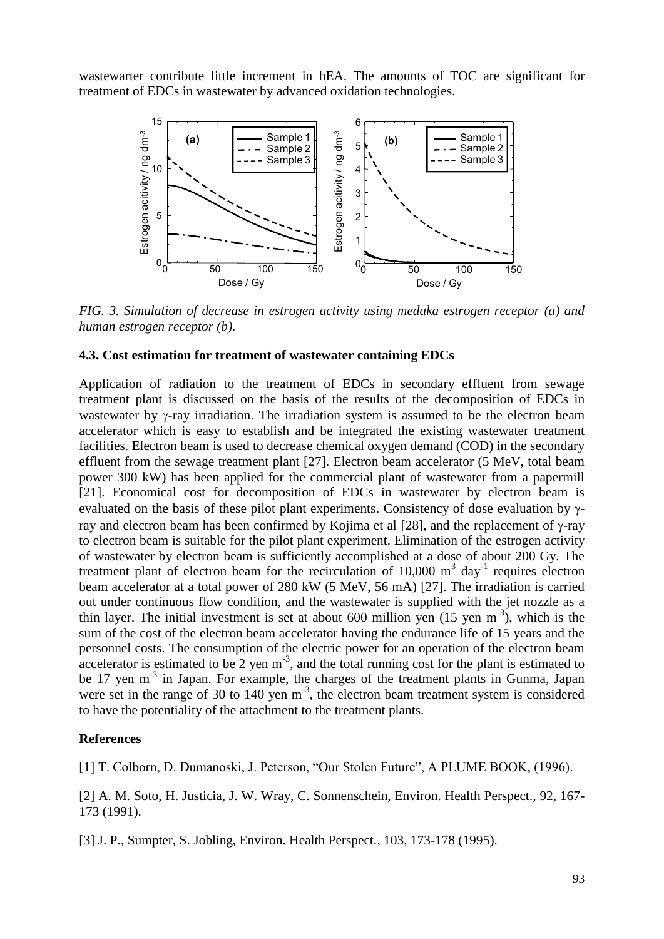wastewarter contribute little increment in hEA. The amounts of TOC are significant for treatment of EDCs in wastewater by advanced oxidation technologies.



*FIG. 3. Simulation of decrease in estrogen activity using medaka estrogen receptor (a) and human estrogen receptor (b).*

#### **4.3. Cost estimation for treatment of wastewater containing EDCs**

Application of radiation to the treatment of EDCs in secondary effluent from sewage treatment plant is discussed on the basis of the results of the decomposition of EDCs in wastewater by  $\gamma$ -ray irradiation. The irradiation system is assumed to be the electron beam accelerator which is easy to establish and be integrated the existing wastewater treatment facilities. Electron beam is used to decrease chemical oxygen demand (COD) in the secondary effluent from the sewage treatment plant [27]. Electron beam accelerator (5 MeV, total beam power 300 kW) has been applied for the commercial plant of wastewater from a papermill [21]. Economical cost for decomposition of EDCs in wastewater by electron beam is evaluated on the basis of these pilot plant experiments. Consistency of dose evaluation by  $\gamma$ ray and electron beam has been confirmed by Kojima et al  $[28]$ , and the replacement of  $\gamma$ -ray to electron beam is suitable for the pilot plant experiment. Elimination of the estrogen activity of wastewater by electron beam is sufficiently accomplished at a dose of about 200 Gy. The treatment plant of electron beam for the recirculation of 10,000  $m<sup>3</sup>$  day<sup>-1</sup> requires electron beam accelerator at a total power of 280 kW (5 MeV, 56 mA) [27]. The irradiation is carried out under continuous flow condition, and the wastewater is supplied with the jet nozzle as a thin layer. The initial investment is set at about 600 million yen  $(15 \text{ yen m}^{-3})$ , which is the sum of the cost of the electron beam accelerator having the endurance life of 15 years and the personnel costs. The consumption of the electric power for an operation of the electron beam accelerator is estimated to be 2 yen  $m^{-3}$ , and the total running cost for the plant is estimated to be 17 yen  $m<sup>-3</sup>$  in Japan. For example, the charges of the treatment plants in Gunma, Japan were set in the range of 30 to 140 yen  $m<sup>-3</sup>$ , the electron beam treatment system is considered to have the potentiality of the attachment to the treatment plants.

#### **References**

[1] T. Colborn, D. Dumanoski, J. Peterson, "Our Stolen Future", A PLUME BOOK, (1996).

[2] A. M. Soto, H. Justicia, J. W. Wray, C. Sonnenschein, Environ. Health Perspect., 92, 167- 173 (1991).

[3] J. P., Sumpter, S. Jobling, Environ. Health Perspect., 103, 173-178 (1995).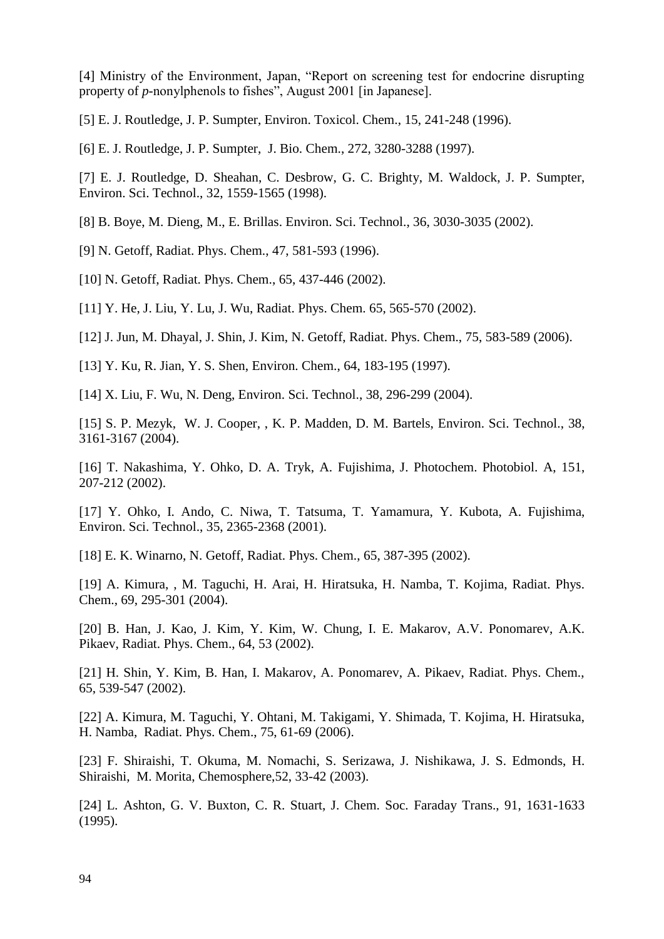[4] Ministry of the Environment, Japan, "Report on screening test for endocrine disrupting property of *p*-nonylphenols to fishes", August 2001 [in Japanese].

[5] E. J. Routledge, J. P. Sumpter, Environ. Toxicol. Chem., 15, 241-248 (1996).

[6] E. J. Routledge, J. P. Sumpter, J. Bio. Chem., 272, 3280-3288 (1997).

[7] E. J. Routledge, D. Sheahan, C. Desbrow, G. C. Brighty, M. Waldock, J. P. Sumpter, Environ. Sci. Technol., 32, 1559-1565 (1998).

[8] B. Boye, M. Dieng, M., E. Brillas. Environ. Sci. Technol., 36, 3030-3035 (2002).

[9] N. Getoff, Radiat. Phys. Chem., 47, 581-593 (1996).

[10] N. Getoff, Radiat. Phys. Chem., 65, 437-446 (2002).

[11] Y. He, J. Liu, Y. Lu, J. Wu, Radiat. Phys. Chem. 65, 565-570 (2002).

[12] J. Jun, M. Dhayal, J. Shin, J. Kim, N. Getoff, Radiat. Phys. Chem., 75, 583-589 (2006).

[13] Y. Ku, R. Jian, Y. S. Shen, Environ. Chem., 64, 183-195 (1997).

[14] X. Liu, F. Wu, N. Deng, Environ. Sci. Technol., 38, 296-299 (2004).

[15] S. P. Mezyk, W. J. Cooper, , K. P. Madden, D. M. Bartels, Environ. Sci. Technol., 38, 3161-3167 (2004).

[16] T. Nakashima, Y. Ohko, D. A. Tryk, A. Fujishima, J. Photochem. Photobiol. A, 151, 207-212 (2002).

[17] Y. Ohko, I. Ando, C. Niwa, T. Tatsuma, T. Yamamura, Y. Kubota, A. Fujishima, Environ. Sci. Technol., 35, 2365-2368 (2001).

[18] E. K. Winarno, N. Getoff, Radiat. Phys. Chem., 65, 387-395 (2002).

[19] A. Kimura, , M. Taguchi, H. Arai, H. Hiratsuka, H. Namba, T. Kojima, Radiat. Phys. Chem., 69, 295-301 (2004).

[20] B. Han, J. Kao, J. Kim, Y. Kim, W. Chung, I. E. Makarov, A.V. Ponomarev, A.K. Pikaev, Radiat. Phys. Chem., 64, 53 (2002).

[21] H. Shin, Y. Kim, B. Han, I. Makarov, A. Ponomarev, A. Pikaev, Radiat. Phys. Chem., 65, 539-547 (2002).

[22] A. Kimura, M. Taguchi, Y. Ohtani, M. Takigami, Y. Shimada, T. Kojima, H. Hiratsuka, H. Namba, Radiat. Phys. Chem., 75, 61-69 (2006).

[23] F. Shiraishi, T. Okuma, M. Nomachi, S. Serizawa, J. Nishikawa, J. S. Edmonds, H. Shiraishi, M. Morita, Chemosphere,52, 33-42 (2003).

[24] L. Ashton, G. V. Buxton, C. R. Stuart, J. Chem. Soc. Faraday Trans., 91, 1631-1633 (1995).